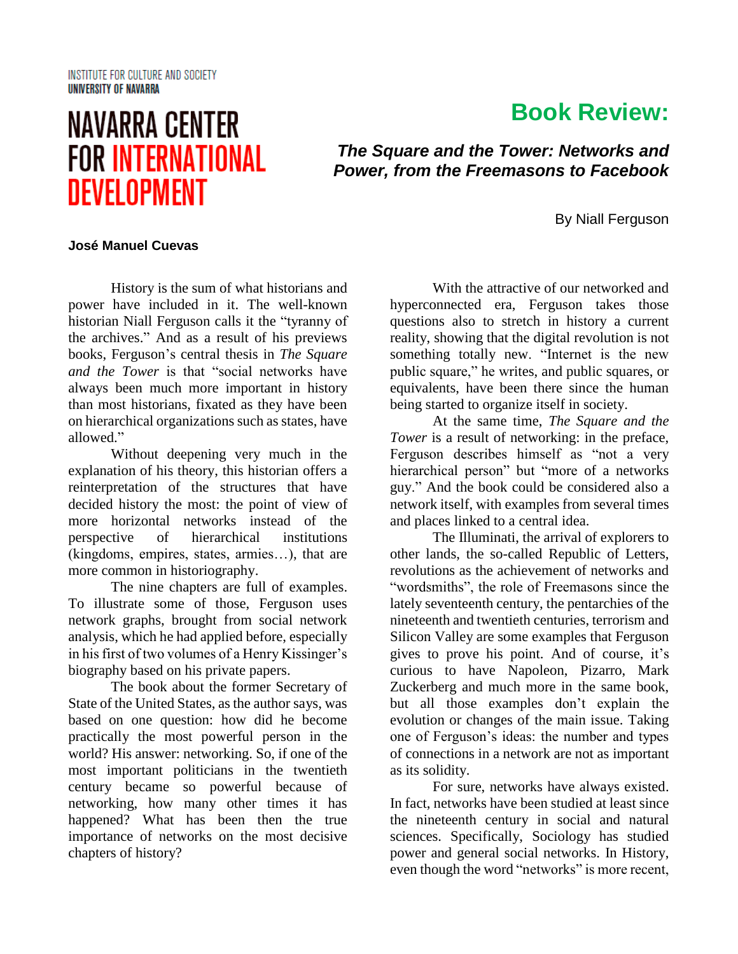#### **INSTITUTE FOR CULTURE AND SOCIETY** UNIVERSITY OF NAVARRA

# **NAVARRA CENTER FOR INTERNATIONAL DEVELOPMENT**

## **Book Review:**

*The Square and the Tower: Networks and Power, from the Freemasons to Facebook*

By Niall Ferguson

### **José Manuel Cuevas**

History is the sum of what historians and power have included in it. The well-known historian Niall Ferguson calls it the "tyranny of the archives." And as a result of his previews books, Ferguson's central thesis in *The Square and the Tower* is that "social networks have always been much more important in history than most historians, fixated as they have been on hierarchical organizations such as states, have allowed."

Without deepening very much in the explanation of his theory, this historian offers a reinterpretation of the structures that have decided history the most: the point of view of more horizontal networks instead of the perspective of hierarchical institutions (kingdoms, empires, states, armies…), that are more common in historiography.

The nine chapters are full of examples. To illustrate some of those, Ferguson uses network graphs, brought from social network analysis, which he had applied before, especially in his first of two volumes of a Henry Kissinger's biography based on his private papers.

The book about the former Secretary of State of the United States, as the author says, was based on one question: how did he become practically the most powerful person in the world? His answer: networking. So, if one of the most important politicians in the twentieth century became so powerful because of networking, how many other times it has happened? What has been then the true importance of networks on the most decisive chapters of history?

With the attractive of our networked and hyperconnected era, Ferguson takes those questions also to stretch in history a current reality, showing that the digital revolution is not something totally new. "Internet is the new public square," he writes, and public squares, or equivalents, have been there since the human being started to organize itself in society.

At the same time, *The Square and the Tower* is a result of networking: in the preface, Ferguson describes himself as "not a very hierarchical person" but "more of a networks guy." And the book could be considered also a network itself, with examples from several times and places linked to a central idea.

The Illuminati, the arrival of explorers to other lands, the so-called Republic of Letters, revolutions as the achievement of networks and "wordsmiths", the role of Freemasons since the lately seventeenth century, the pentarchies of the nineteenth and twentieth centuries, terrorism and Silicon Valley are some examples that Ferguson gives to prove his point. And of course, it's curious to have Napoleon, Pizarro, Mark Zuckerberg and much more in the same book, but all those examples don't explain the evolution or changes of the main issue. Taking one of Ferguson's ideas: the number and types of connections in a network are not as important as its solidity.

For sure, networks have always existed. In fact, networks have been studied at least since the nineteenth century in social and natural sciences. Specifically, Sociology has studied power and general social networks. In History, even though the word "networks" is more recent,